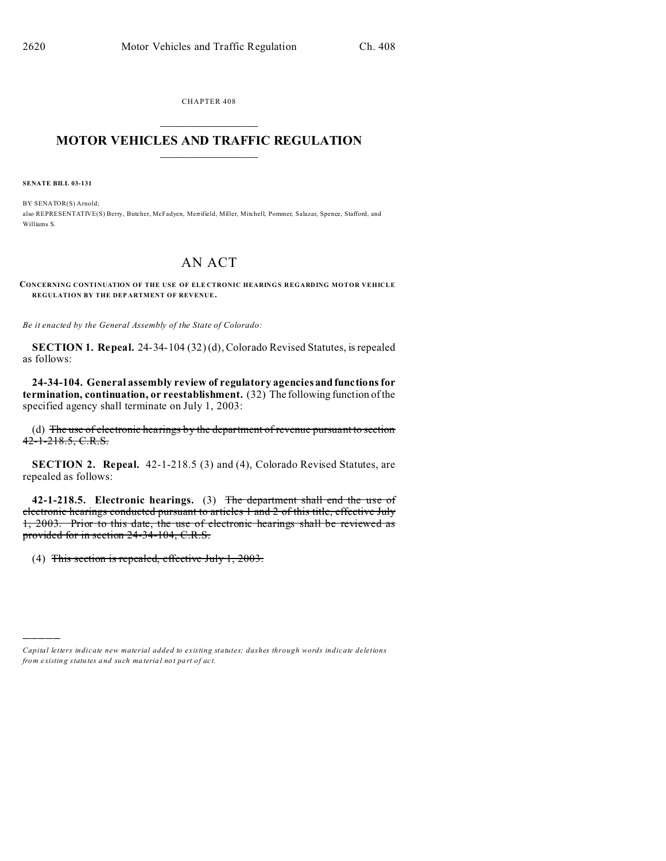CHAPTER 408  $\overline{\phantom{a}}$  , where  $\overline{\phantom{a}}$ 

## **MOTOR VEHICLES AND TRAFFIC REGULATION**  $\frac{1}{2}$  ,  $\frac{1}{2}$  ,  $\frac{1}{2}$  ,  $\frac{1}{2}$  ,  $\frac{1}{2}$  ,  $\frac{1}{2}$  ,  $\frac{1}{2}$

**SENATE BILL 03-131**

)))))

BY SENATOR(S) Arnold; also REPRESENTATIVE(S) Berry, Butcher, McFadyen, Merrifield, Miller, Mitchell, Pommer, Salazar, Spence, Stafford, and Williams S.

## AN ACT

**CONCERNING CONTINUATION OF THE USE OF ELE CTRONIC HEARINGS REGARDING MOTOR VEHICLE REGULATION BY THE DEP ARTMENT OF REVENUE.**

*Be it enacted by the General Assembly of the State of Colorado:*

**SECTION 1. Repeal.** 24-34-104 (32) (d), Colorado Revised Statutes, is repealed as follows:

**24-34-104. General assembly review of regulatory agencies and functions for termination, continuation, or reestablishment.** (32) The following function of the specified agency shall terminate on July 1, 2003:

(d) The use of electronic hearings by the department of revenue pursuant to section  $42 - 1 - 218.5$ , C.R.S.

**SECTION 2. Repeal.** 42-1-218.5 (3) and (4), Colorado Revised Statutes, are repealed as follows:

**42-1-218.5. Electronic hearings.** (3) The department shall end the use of electronic hearings conducted pursuant to articles 1 and 2 of this title, effective July 1, 2003. Prior to this date, the use of electronic hearings shall be reviewed as provided for in section 24-34-104, C.R.S.

(4) This section is repealed, effective July 1,  $2003$ .

*Capital letters indicate new material added to existing statutes; dashes through words indicate deletions from e xistin g statu tes a nd such ma teria l no t pa rt of ac t.*